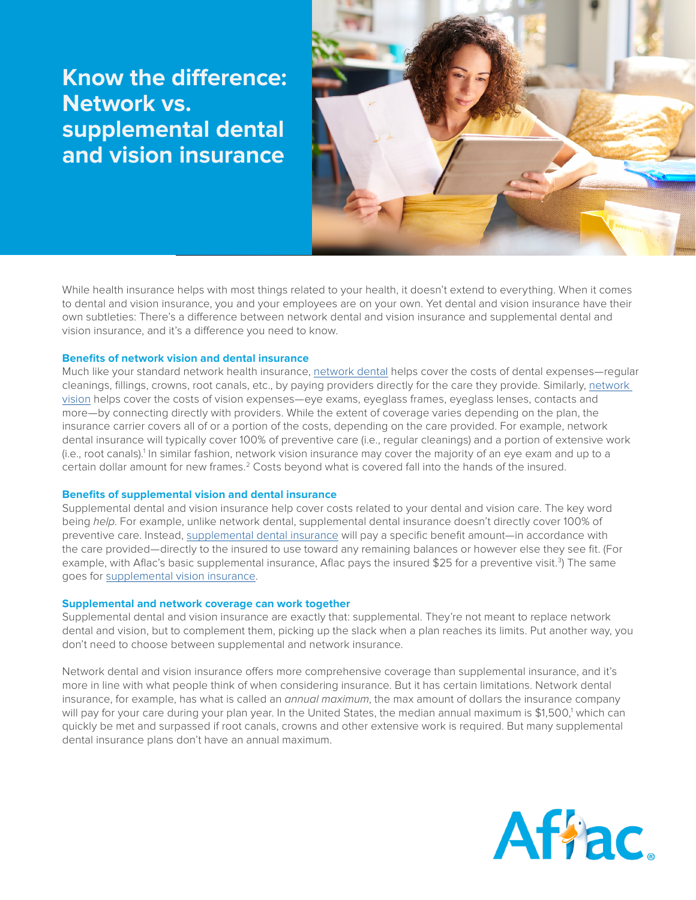# **Know the difference: Network vs. supplemental dental and vision insurance**



While health insurance helps with most things related to your health, it doesn't extend to everything. When it comes to dental and vision insurance, you and your employees are on your own. Yet dental and vision insurance have their own subtleties: There's a difference between network dental and vision insurance and supplemental dental and vision insurance, and it's a difference you need to know.

### **Benefits of network vision and dental insurance**

Much like your standard network health insurance, [network dental](https://www.aflac.com/business/products/network-dental-insurance.aspx) helps cover the costs of dental expenses—regular cleanings, fillings, crowns, root canals, etc., by paying providers directly for the care they provide. Similarly, network [vision](https://www.aflac.com/business/products/network-vision-insurance.aspx) helps cover the costs of vision expenses—eye exams, eyeglass frames, eyeglass lenses, contacts and more—by connecting directly with providers. While the extent of coverage varies depending on the plan, the insurance carrier covers all of or a portion of the costs, depending on the care provided. For example, network dental insurance will typically cover 100% of preventive care (i.e., regular cleanings) and a portion of extensive work (i.e., root canals).<sup>1</sup> In similar fashion, network vision insurance may cover the majority of an eye exam and up to a certain dollar amount for new frames.<sup>2</sup> Costs beyond what is covered fall into the hands of the insured.

#### **Benefits of supplemental vision and dental insurance**

Supplemental dental and vision insurance help cover costs related to your dental and vision care. The key word being *help*. For example, unlike network dental, supplemental dental insurance doesn't directly cover 100% of preventive care. Instead, [supplemental dental insurance](https://www.aflac.com/business/products/supplemental-dental-insurance.aspx) will pay a specific benefit amount—in accordance with the care provided—directly to the insured to use toward any remaining balances or however else they see fit. (For example, with Aflac's basic supplemental insurance, Aflac pays the insured \$25 for a preventive visit.<sup>3</sup>) The same goes for [supplemental vision insurance.](https://www.aflac.com/business/products/supplemental-vision-insurance.aspx)

#### **Supplemental and network coverage can work together**

Supplemental dental and vision insurance are exactly that: supplemental. They're not meant to replace network dental and vision, but to complement them, picking up the slack when a plan reaches its limits. Put another way, you don't need to choose between supplemental and network insurance.

Network dental and vision insurance offers more comprehensive coverage than supplemental insurance, and it's more in line with what people think of when considering insurance. But it has certain limitations. Network dental insurance, for example, has what is called an *annual maximum*, the max amount of dollars the insurance company will pay for your care during your plan year. In the United States, the median annual maximum is \$1,500,<sup>1</sup> which can quickly be met and surpassed if root canals, crowns and other extensive work is required. But many supplemental dental insurance plans don't have an annual maximum.